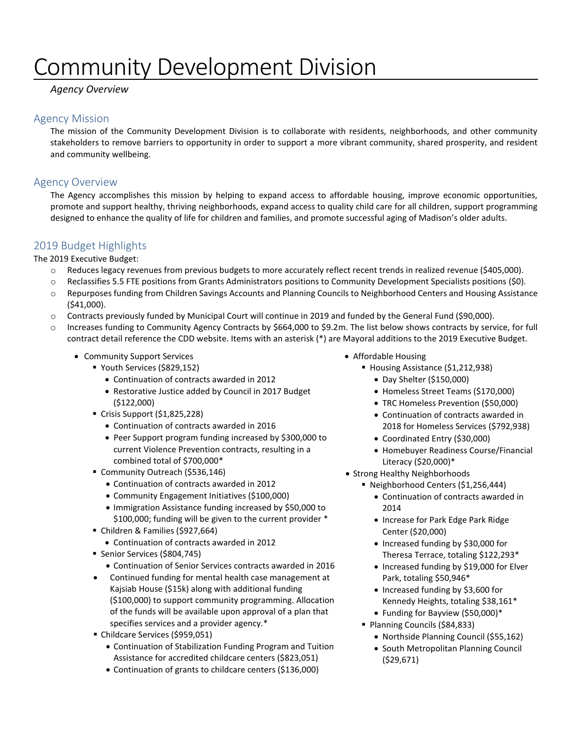# Community Development Division

# *Agency Overview*

# Agency Mission

The mission of the Community Development Division is to collaborate with residents, neighborhoods, and other community stakeholders to remove barriers to opportunity in order to support a more vibrant community, shared prosperity, and resident and community wellbeing.

# Agency Overview

The Agency accomplishes this mission by helping to expand access to affordable housing, improve economic opportunities, promote and support healthy, thriving neighborhoods, expand access to quality child care for all children, support programming designed to enhance the quality of life for children and families, and promote successful aging of Madison's older adults.

# 2019 Budget Highlights

The 2019 Executive Budget:

- o Reduces legacy revenues from previous budgets to more accurately reflect recent trends in realized revenue (\$405,000).
- o Reclassifies 5.5 FTE positions from Grants Administrators positions to Community Development Specialists positions (\$0).
- o Repurposes funding from Children Savings Accounts and Planning Councils to Neighborhood Centers and Housing Assistance (\$41,000).
- o Contracts previously funded by Municipal Court will continue in 2019 and funded by the General Fund (\$90,000).
- o Increases funding to Community Agency Contracts by \$664,000 to \$9.2m. The list below shows contracts by service, for full contract detail reference the CDD website. Items with an asterisk (\*) are Mayoral additions to the 2019 Executive Budget.
	- Community Support Services
		- Youth Services (\$829,152)
			- Continuation of contracts awarded in 2012
			- Restorative Justice added by Council in 2017 Budget (\$122,000)
		- Crisis Support (\$1,825,228)
			- Continuation of contracts awarded in 2016
			- Peer Support program funding increased by \$300,000 to current Violence Prevention contracts, resulting in a combined total of \$700,000\*
		- Community Outreach (\$536,146)
			- Continuation of contracts awarded in 2012
			- Community Engagement Initiatives (\$100,000)
			- Immigration Assistance funding increased by \$50,000 to \$100,000; funding will be given to the current provider \*
		- Children & Families (\$927,664)
			- Continuation of contracts awarded in 2012
		- Senior Services (\$804,745)
			- Continuation of Senior Services contracts awarded in 2016
		- Continued funding for mental health case management at Kajsiab House (\$15k) along with additional funding (\$100,000) to support community programming. Allocation of the funds will be available upon approval of a plan that specifies services and a provider agency.\*
		- Childcare Services (\$959,051)
			- Continuation of Stabilization Funding Program and Tuition Assistance for accredited childcare centers (\$823,051)
			- Continuation of grants to childcare centers (\$136,000)
- Affordable Housing
	- Housing Assistance (\$1,212,938)
		- Day Shelter (\$150,000)
		- Homeless Street Teams (\$170,000)
		- TRC Homeless Prevention (\$50,000)
		- Continuation of contracts awarded in 2018 for Homeless Services (\$792,938)
		- Coordinated Entry (\$30,000)
		- Homebuyer Readiness Course/Financial Literacy (\$20,000)\*
- Strong Healthy Neighborhoods
	- Neighborhood Centers (\$1,256,444)
		- Continuation of contracts awarded in 2014
		- Increase for Park Edge Park Ridge Center (\$20,000)
		- Increased funding by \$30,000 for Theresa Terrace, totaling \$122,293\*
		- Increased funding by \$19,000 for Elver Park, totaling \$50,946\*
		- Increased funding by \$3,600 for Kennedy Heights, totaling \$38,161\*
		- Funding for Bayview (\$50,000)\*
	- Planning Councils (\$84,833)
		- Northside Planning Council (\$55,162)
		- South Metropolitan Planning Council (\$29,671)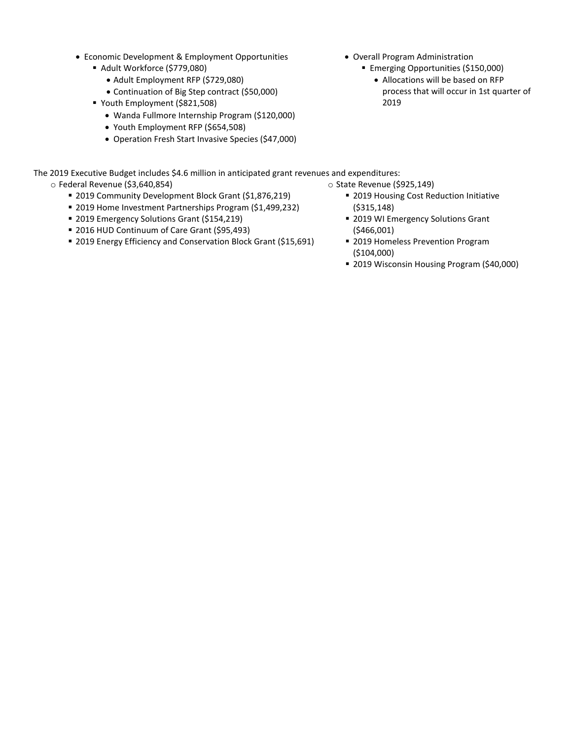- Economic Development & Employment Opportunities
	- Adult Workforce (\$779,080)
		- Adult Employment RFP (\$729,080)
		- Continuation of Big Step contract (\$50,000)
	- Youth Employment (\$821,508)
		- Wanda Fullmore Internship Program (\$120,000)
		- Youth Employment RFP (\$654,508)
		- Operation Fresh Start Invasive Species (\$47,000)
- Overall Program Administration
	- **Emerging Opportunities (\$150,000)** 
		- Allocations will be based on RFP process that will occur in 1st quarter of 2019

The 2019 Executive Budget includes \$4.6 million in anticipated grant revenues and expenditures:

- o Federal Revenue (\$3,640,854)
	- 2019 Community Development Block Grant (\$1,876,219)
	- 2019 Home Investment Partnerships Program (\$1,499,232)
	- 2019 Emergency Solutions Grant (\$154,219)
	- **2016 HUD Continuum of Care Grant (\$95,493)**
	- 2019 Energy Efficiency and Conservation Block Grant (\$15,691)
- o State Revenue (\$925,149)
	- **2019 Housing Cost Reduction Initiative** (\$315,148)
	- **2019 WI Emergency Solutions Grant** (\$466,001)
	- **2019 Homeless Prevention Program** (\$104,000)
	- 2019 Wisconsin Housing Program (\$40,000)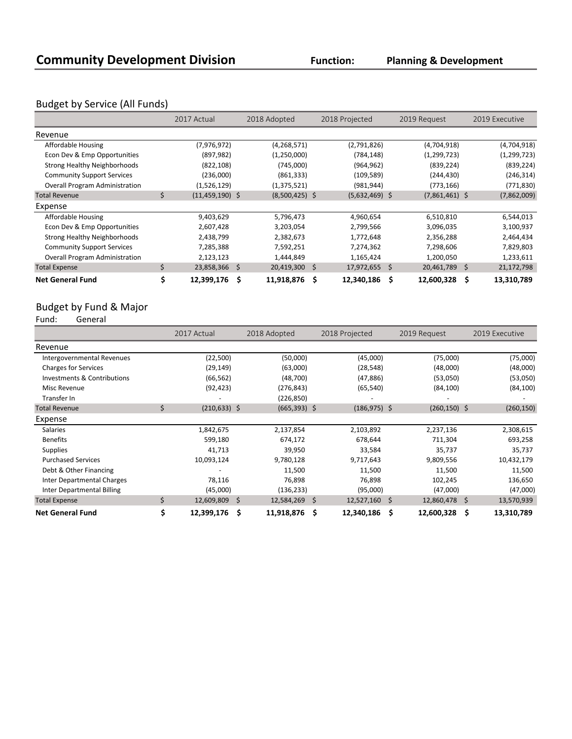**Planning & Development**

# Budget by Service (All Funds)

|                                       |    | 2017 Actual       |   | 2018 Adopted     | 2018 Projected   | 2019 Request     |    | 2019 Executive |
|---------------------------------------|----|-------------------|---|------------------|------------------|------------------|----|----------------|
| Revenue                               |    |                   |   |                  |                  |                  |    |                |
| Affordable Housing                    |    | (7,976,972)       |   | (4, 268, 571)    | (2,791,826)      | (4,704,918)      |    | (4,704,918)    |
| Econ Dev & Emp Opportunities          |    | (897, 982)        |   | (1,250,000)      | (784, 148)       | (1, 299, 723)    |    | (1, 299, 723)  |
| Strong Healthy Neighborhoods          |    | (822, 108)        |   | (745,000)        | (964, 962)       | (839, 224)       |    | (839, 224)     |
| <b>Community Support Services</b>     |    | (236,000)         |   | (861, 333)       | (109, 589)       | (244, 430)       |    | (246, 314)     |
| <b>Overall Program Administration</b> |    | (1,526,129)       |   | (1,375,521)      | (981, 944)       | (773, 166)       |    | (771, 830)     |
| <b>Total Revenue</b>                  | \$ | $(11,459,190)$ \$ |   | $(8,500,425)$ \$ | $(5,632,469)$ \$ | $(7,861,461)$ \$ |    | (7,862,009)    |
| Expense                               |    |                   |   |                  |                  |                  |    |                |
| Affordable Housing                    |    | 9,403,629         |   | 5,796,473        | 4,960,654        | 6,510,810        |    | 6,544,013      |
| Econ Dev & Emp Opportunities          |    | 2,607,428         |   | 3,203,054        | 2,799,566        | 3,096,035        |    | 3,100,937      |
| <b>Strong Healthy Neighborhoods</b>   |    | 2,438,799         |   | 2,382,673        | 1,772,648        | 2,356,288        |    | 2,464,434      |
| <b>Community Support Services</b>     |    | 7,285,388         |   | 7,592,251        | 7,274,362        | 7,298,606        |    | 7,829,803      |
| <b>Overall Program Administration</b> |    | 2,123,123         |   | 1,444,849        | 1,165,424        | 1,200,050        |    | 1,233,611      |
| <b>Total Expense</b>                  | Ś  | 23,858,366 \$     |   | $20,419,300$ \$  | $17,972,655$ \$  | 20,461,789       | S. | 21,172,798     |
| <b>Net General Fund</b>               |    | 12,399,176        | Ŝ | 11,918,876 \$    | 12,340,186       | \$<br>12,600,328 | \$ | 13,310,789     |

# Budget by Fund & Major<br>Fund: General

General

|                                   | 2017 Actual           | 2018 Adopted      | 2018 Projected          |                 | 2019 Request    |    | 2019 Executive |
|-----------------------------------|-----------------------|-------------------|-------------------------|-----------------|-----------------|----|----------------|
| Revenue                           |                       |                   |                         |                 |                 |    |                |
| Intergovernmental Revenues        | (22,500)              | (50,000)          | (45,000)                |                 | (75,000)        |    | (75,000)       |
| <b>Charges for Services</b>       | (29, 149)             | (63,000)          | (28, 548)               |                 | (48,000)        |    | (48,000)       |
| Investments & Contributions       | (66, 562)             | (48, 700)         | (47, 886)               |                 | (53,050)        |    | (53,050)       |
| Misc Revenue                      | (92, 423)             | (276, 843)        | (65, 540)               |                 | (84, 100)       |    | (84, 100)      |
| Transfer In                       |                       | (226, 850)        |                         |                 |                 |    |                |
| <b>Total Revenue</b>              | \$<br>$(210, 633)$ \$ | $(665,393)$ \$    |                         | $(186, 975)$ \$ | $(260, 150)$ \$ |    | (260, 150)     |
| Expense                           |                       |                   |                         |                 |                 |    |                |
| Salaries                          | 1,842,675             | 2,137,854         | 2,103,892               |                 | 2,237,136       |    | 2,308,615      |
| <b>Benefits</b>                   | 599,180               | 674,172           | 678,644                 |                 | 711,304         |    | 693,258        |
| <b>Supplies</b>                   | 41,713                | 39,950            | 33,584                  |                 | 35,737          |    | 35,737         |
| <b>Purchased Services</b>         | 10,093,124            | 9,780,128         | 9,717,643               |                 | 9,809,556       |    | 10,432,179     |
| Debt & Other Financing            |                       | 11,500            | 11,500                  |                 | 11,500          |    | 11,500         |
| <b>Inter Departmental Charges</b> | 78,116                | 76,898            | 76,898                  |                 | 102,245         |    | 136,650        |
| Inter Departmental Billing        | (45,000)              | (136, 233)        | (95,000)                |                 | (47,000)        |    | (47,000)       |
| <b>Total Expense</b>              | \$<br>12,609,809      | -\$<br>12,584,269 | $12,527,160$ \$<br>- \$ |                 | 12,860,478      | S. | 13,570,939     |
| <b>Net General Fund</b>           | \$<br>12,399,176      | 11,918,876<br>S   | 12,340,186<br>- \$      | S               | 12,600,328      | s  | 13,310,789     |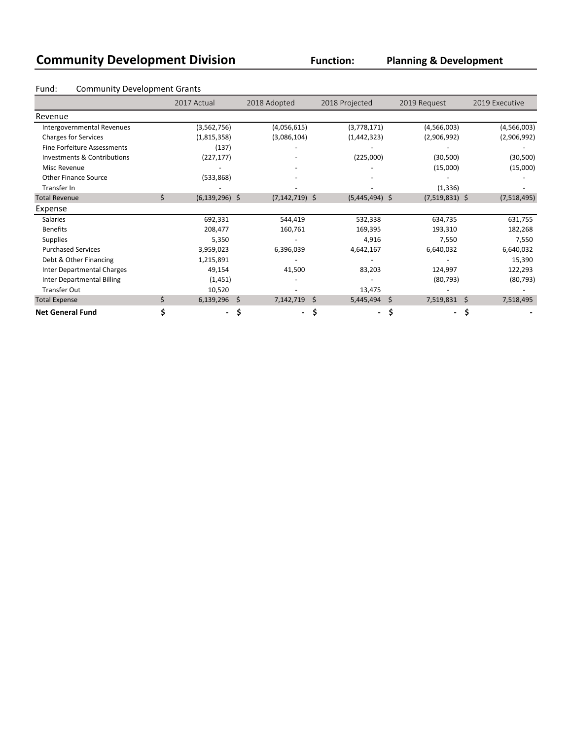| <b>Community Development Division</b> |                                     |                    |                    | <b>Function:</b> | <b>Planning &amp; Development</b> |                      |  |  |  |  |  |
|---------------------------------------|-------------------------------------|--------------------|--------------------|------------------|-----------------------------------|----------------------|--|--|--|--|--|
| Fund:                                 | <b>Community Development Grants</b> |                    |                    |                  |                                   |                      |  |  |  |  |  |
|                                       |                                     | 2017 Actual        | 2018 Adopted       | 2018 Projected   | 2019 Request                      | 2019 Executive       |  |  |  |  |  |
| Revenue                               |                                     |                    |                    |                  |                                   |                      |  |  |  |  |  |
| Intergovernmental Revenues            |                                     | (3, 562, 756)      | (4,056,615)        | (3,778,171)      | (4,566,003)                       | (4, 566, 003)        |  |  |  |  |  |
| <b>Charges for Services</b>           |                                     | (1,815,358)        | (3,086,104)        | (1, 442, 323)    | (2,906,992)                       | (2,906,992)          |  |  |  |  |  |
| <b>Fine Forfeiture Assessments</b>    |                                     | (137)              |                    |                  |                                   |                      |  |  |  |  |  |
| Investments & Contributions           |                                     | (227, 177)         |                    | (225,000)        | (30, 500)                         | (30, 500)            |  |  |  |  |  |
| Misc Revenue                          |                                     |                    |                    |                  | (15,000)                          | (15,000)             |  |  |  |  |  |
| <b>Other Finance Source</b>           |                                     | (533,868)          |                    |                  |                                   |                      |  |  |  |  |  |
| Transfer In                           |                                     |                    |                    |                  | (1, 336)                          |                      |  |  |  |  |  |
| <b>Total Revenue</b>                  | \$                                  | $(6, 139, 296)$ \$ | $(7, 142, 719)$ \$ | $(5,445,494)$ \$ | $(7,519,831)$ \$                  | (7,518,495)          |  |  |  |  |  |
| Expense                               |                                     |                    |                    |                  |                                   |                      |  |  |  |  |  |
| <b>Salaries</b>                       |                                     | 692,331            | 544,419            | 532,338          | 634,735                           | 631,755              |  |  |  |  |  |
| <b>Benefits</b>                       |                                     | 208,477            | 160,761            | 169,395          | 193,310                           | 182,268              |  |  |  |  |  |
| <b>Supplies</b>                       |                                     | 5,350              |                    | 4,916            | 7,550                             | 7,550                |  |  |  |  |  |
| <b>Purchased Services</b>             |                                     | 3,959,023          | 6,396,039          | 4,642,167        | 6,640,032                         | 6,640,032            |  |  |  |  |  |
| Debt & Other Financing                |                                     | 1,215,891          |                    |                  |                                   | 15,390               |  |  |  |  |  |
| Inter Departmental Charges            |                                     | 49,154             | 41,500             | 83,203           | 124,997                           | 122,293              |  |  |  |  |  |
| <b>Inter Departmental Billing</b>     |                                     | (1, 451)           |                    |                  | (80, 793)                         | (80, 793)            |  |  |  |  |  |
| <b>Transfer Out</b>                   |                                     | 10,520             |                    | 13,475           |                                   |                      |  |  |  |  |  |
| <b>Total Expense</b>                  | \$                                  | 6,139,296          | 7,142,719<br>\$    | Ŝ.<br>5,445,494  | \$<br>7,519,831                   | $\zeta$<br>7,518,495 |  |  |  |  |  |
| <b>Net General Fund</b>               | \$                                  |                    | \$<br>-            | \$               | \$<br>$\overline{\phantom{a}}$    | \$                   |  |  |  |  |  |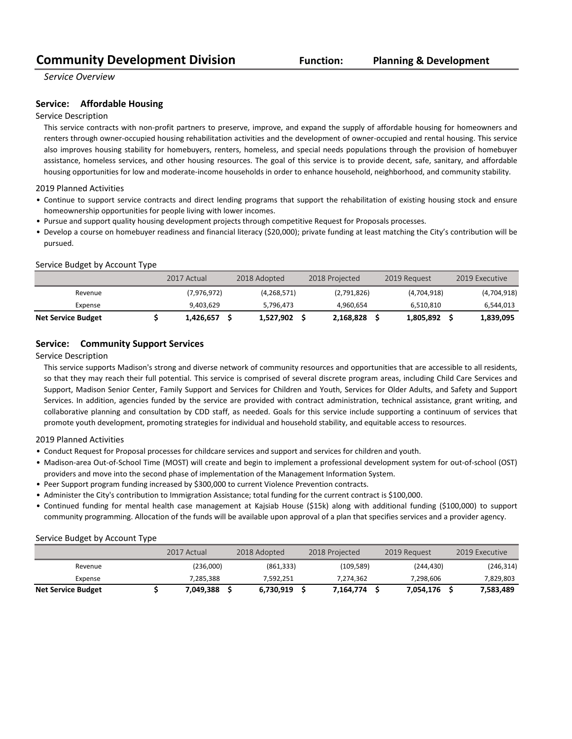*Service Overview*

### **Service:** Affordable Housing

### Service Description

This service contracts with non-profit partners to preserve, improve, and expand the supply of affordable housing for homeowners and renters through owner-occupied housing rehabilitation activities and the development of owner-occupied and rental housing. This service also improves housing stability for homebuyers, renters, homeless, and special needs populations through the provision of homebuyer assistance, homeless services, and other housing resources. The goal of this service is to provide decent, safe, sanitary, and affordable housing opportunities for low and moderate-income households in order to enhance household, neighborhood, and community stability.

### 2019 Planned Activities

- Continue to support service contracts and direct lending programs that support the rehabilitation of existing housing stock and ensure homeownership opportunities for people living with lower incomes.
- Pursue and support quality housing development projects through competitive Request for Proposals processes.
- Develop a course on homebuyer readiness and financial literacy (\$20,000); private funding at least matching the City's contribution will be pursued.

### Service Budget by Account Type

|                           | 2017 Actual | 2018 Adopted |               | 2018 Projected |             | 2019 Request |             | 2019 Executive |
|---------------------------|-------------|--------------|---------------|----------------|-------------|--------------|-------------|----------------|
| Revenue                   | (7,976,972) |              | (4, 268, 571) |                | (2,791,826) |              | (4,704,918) | (4,704,918)    |
| Expense                   | 9.403.629   |              | 5.796.473     |                | 4,960,654   |              | 6.510.810   | 6,544,013      |
| <b>Net Service Budget</b> | 1,426,657   |              | 1,527,902     |                | 2,168,828   |              | 1,805,892   | 1,839,095      |

### **Service:** Community Support Services

### Service Description

This service supports Madison's strong and diverse network of community resources and opportunities that are accessible to all residents, so that they may reach their full potential. This service is comprised of several discrete program areas, including Child Care Services and Support, Madison Senior Center, Family Support and Services for Children and Youth, Services for Older Adults, and Safety and Support Services. In addition, agencies funded by the service are provided with contract administration, technical assistance, grant writing, and collaborative planning and consultation by CDD staff, as needed. Goals for this service include supporting a continuum of services that promote youth development, promoting strategies for individual and household stability, and equitable access to resources.

### 2019 Planned Activities

- Conduct Request for Proposal processes for childcare services and support and services for children and youth.
- Madison-area Out-of-School Time (MOST) will create and begin to implement a professional development system for out-of-school (OST) providers and move into the second phase of implementation of the Management Information System.
- Peer Support program funding increased by \$300,000 to current Violence Prevention contracts.
- Administer the City's contribution to Immigration Assistance; total funding for the current contract is \$100,000.
- Continued funding for mental health case management at Kajsiab House (\$15k) along with additional funding (\$100,000) to support community programming. Allocation of the funds will be available upon approval of a plan that specifies services and a provider agency.

### Service Budget by Account Type

|                           | 2017 Actual | 2018 Adopted |            | 2018 Projected |            | 2019 Request | 2019 Executive |
|---------------------------|-------------|--------------|------------|----------------|------------|--------------|----------------|
| Revenue                   | (236,000)   |              | (861, 333) |                | (109, 589) | (244, 430)   | (246, 314)     |
| Expense                   | 7.285.388   |              | 7.592.251  |                | 7,274,362  | 7.298.606    | 7,829,803      |
| <b>Net Service Budget</b> | 7,049,388   |              | 6,730,919  |                | 7,164,774  | 7.054.176    | 7,583,489      |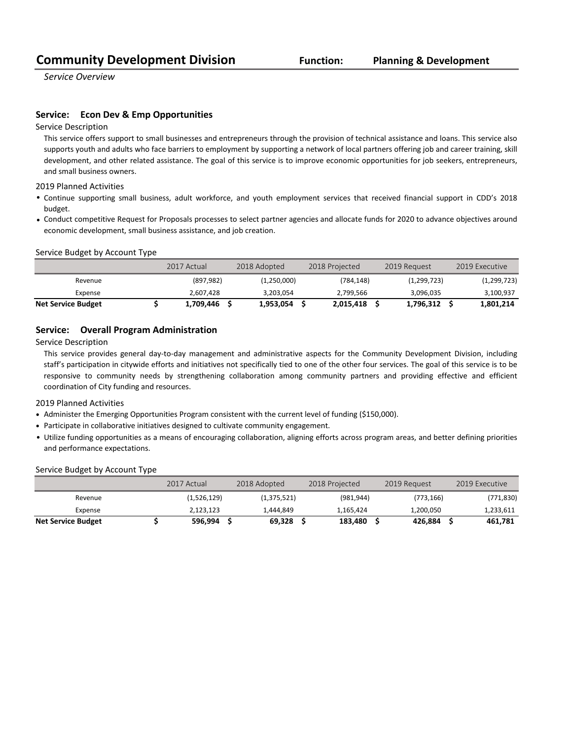*Service Overview*

### **Service:** Econ Dev & Emp Opportunities

Service Description

This service offers support to small businesses and entrepreneurs through the provision of technical assistance and loans. This service also supports youth and adults who face barriers to employment by supporting a network of local partners offering job and career training, skill development, and other related assistance. The goal of this service is to improve economic opportunities for job seekers, entrepreneurs, and small business owners.

2019 Planned Activities

- Continue supporting small business, adult workforce, and youth employment services that received financial support in CDD's 2018 budget.
- Conduct competitive Request for Proposals processes to select partner agencies and allocate funds for 2020 to advance objectives around economic development, small business assistance, and job creation.

### Service Budget by Account Type

|                           | 2017 Actual | 2018 Adopted | 2018 Projected | 2019 Request | 2019 Executive |
|---------------------------|-------------|--------------|----------------|--------------|----------------|
| Revenue                   | (897, 982)  | (1,250,000)  | (784, 148)     | (1,299,723)  | (1, 299, 723)  |
| Expense                   | 2.607.428   | 3.203.054    | 2.799.566      | 3.096.035    | 3,100,937      |
| <b>Net Service Budget</b> | 1,709,446   | 1,953,054    | 2,015,418      | 1,796,312    | 1,801,214      |

## **Service:** Overall Program Administration

Service Description

This service provides general day-to-day management and administrative aspects for the Community Development Division, including staff's participation in citywide efforts and initiatives not specifically tied to one of the other four services. The goal of this service is to be responsive to community needs by strengthening collaboration among community partners and providing effective and efficient coordination of City funding and resources.

2019 Planned Activities

- Administer the Emerging Opportunities Program consistent with the current level of funding (\$150,000).
- Participate in collaborative initiatives designed to cultivate community engagement.
- Utilize funding opportunities as a means of encouraging collaboration, aligning efforts across program areas, and better defining priorities and performance expectations.

### Service Budget by Account Type

|                           | 2017 Actual | 2018 Adopted | 2018 Projected | 2019 Request | 2019 Executive |
|---------------------------|-------------|--------------|----------------|--------------|----------------|
| Revenue                   | (1,526,129) | (1,375,521)  | (981, 944)     | (773, 166)   | (771, 830)     |
| Expense                   | 2.123.123   | 1.444.849    | 1.165.424      | 1,200,050    | 1,233,611      |
| <b>Net Service Budget</b> | 596,994     | 69.328       | 183.480        | 426.884      | 461.781        |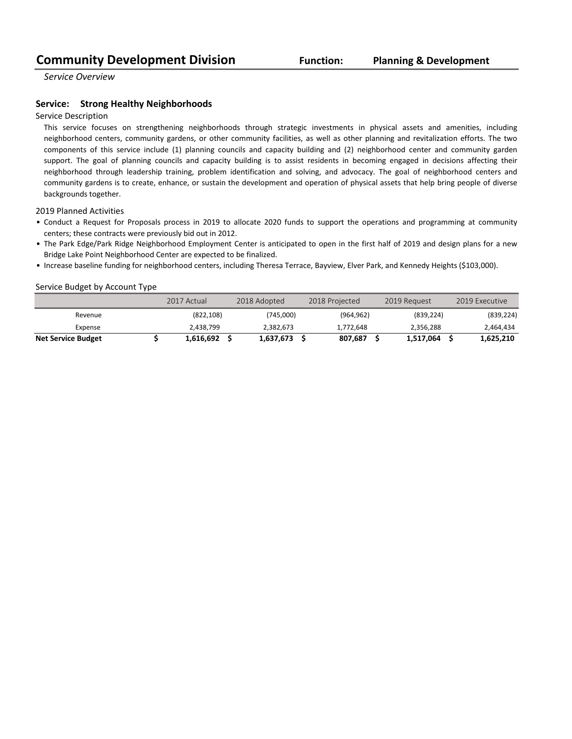*Service Overview*

### **Service:** Strong Healthy Neighborhoods

### Service Description

This service focuses on strengthening neighborhoods through strategic investments in physical assets and amenities, including neighborhood centers, community gardens, or other community facilities, as well as other planning and revitalization efforts. The two components of this service include (1) planning councils and capacity building and (2) neighborhood center and community garden support. The goal of planning councils and capacity building is to assist residents in becoming engaged in decisions affecting their neighborhood through leadership training, problem identification and solving, and advocacy. The goal of neighborhood centers and community gardens is to create, enhance, or sustain the development and operation of physical assets that help bring people of diverse backgrounds together.

2019 Planned Activities

- Conduct a Request for Proposals process in 2019 to allocate 2020 funds to support the operations and programming at community centers; these contracts were previously bid out in 2012.
- The Park Edge/Park Ridge Neighborhood Employment Center is anticipated to open in the first half of 2019 and design plans for a new Bridge Lake Point Neighborhood Center are expected to be finalized.
- Increase baseline funding for neighborhood centers, including Theresa Terrace, Bayview, Elver Park, and Kennedy Heights (\$103,000).

### Service Budget by Account Type

|                           | 2017 Actual | 2018 Adopted | 2018 Projected | 2019 Request | 2019 Executive |
|---------------------------|-------------|--------------|----------------|--------------|----------------|
| Revenue                   | (822, 108)  | (745,000)    | (964, 962)     | (839, 224)   | (839, 224)     |
| Expense                   | 2.438.799   | 2.382.673    | 1.772.648      | 2.356.288    | 2,464,434      |
| <b>Net Service Budget</b> | 1,616,692   | 1,637,673    | 807.687        | 1,517,064    | 1,625,210      |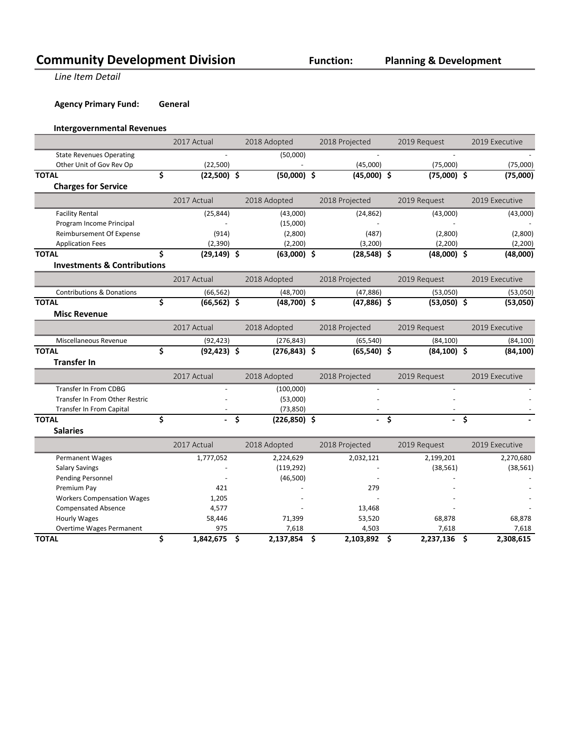**Line Item Detail** 

# **Agency Primary Fund: General**

# **Intergovernmental Revenues**

|                                        | 2017 Actual          | 2018 Adopted          | 2018 Projected     | 2019 Request         | 2019 Executive  |
|----------------------------------------|----------------------|-----------------------|--------------------|----------------------|-----------------|
| <b>State Revenues Operating</b>        |                      | (50,000)              |                    |                      |                 |
| Other Unit of Gov Rev Op               | (22, 500)            |                       | (45,000)           | (75,000)             | (75,000)        |
| <b>TOTAL</b>                           | \$<br>$(22,500)$ \$  | $(50,000)$ \$         | $(45,000)$ \$      | $(75,000)$ \$        | (75,000)        |
| <b>Charges for Service</b>             |                      |                       |                    |                      |                 |
|                                        | 2017 Actual          | 2018 Adopted          | 2018 Projected     | 2019 Request         | 2019 Executive  |
| <b>Facility Rental</b>                 | (25, 844)            | (43,000)              | (24, 862)          | (43,000)             | (43,000)        |
| Program Income Principal               |                      | (15,000)              |                    |                      |                 |
| Reimbursement Of Expense               | (914)                | (2,800)               | (487)              | (2,800)              | (2,800)         |
| <b>Application Fees</b>                | (2,390)              | (2,200)               | (3, 200)           | (2,200)              | (2,200)         |
| <b>TOTAL</b>                           | \$<br>$(29, 149)$ \$ | $(63,000)$ \$         | $(28,548)$ \$      | $(48,000)$ \$        | (48,000)        |
| <b>Investments &amp; Contributions</b> |                      |                       |                    |                      |                 |
|                                        | 2017 Actual          | 2018 Adopted          | 2018 Projected     | 2019 Request         | 2019 Executive  |
| <b>Contributions &amp; Donations</b>   | (66, 562)            | (48, 700)             | (47, 886)          | (53,050)             | (53,050)        |
| <b>TOTAL</b>                           | \$<br>$(66, 562)$ \$ | $(48,700)$ \$         | $(47,886)$ \$      | $(53,050)$ \$        | (53,050)        |
| <b>Misc Revenue</b>                    |                      |                       |                    |                      |                 |
|                                        | 2017 Actual          | 2018 Adopted          | 2018 Projected     | 2019 Request         | 2019 Executive  |
| Miscellaneous Revenue                  | (92, 423)            | (276, 843)            | (65, 540)          | (84, 100)            | (84, 100)       |
| <b>TOTAL</b>                           | \$<br>$(92, 423)$ \$ | $(276, 843)$ \$       | $(65,540)$ \$      | $(84, 100)$ \$       | (84, 100)       |
| <b>Transfer In</b>                     |                      |                       |                    |                      |                 |
|                                        | 2017 Actual          | 2018 Adopted          | 2018 Projected     | 2019 Request         | 2019 Executive  |
| Transfer In From CDBG                  |                      | (100,000)             | $\overline{a}$     |                      |                 |
| Transfer In From Other Restric         |                      | (53,000)              |                    |                      |                 |
| <b>Transfer In From Capital</b>        |                      | (73, 850)             |                    |                      |                 |
| <b>TOTAL</b>                           | \$<br>$\blacksquare$ | \$<br>$(226, 850)$ \$ | $\blacksquare$     | \$<br>$\blacksquare$ | \$              |
| <b>Salaries</b>                        |                      |                       |                    |                      |                 |
|                                        | 2017 Actual          | 2018 Adopted          | 2018 Projected     | 2019 Request         | 2019 Executive  |
| <b>Permanent Wages</b>                 | 1,777,052            | 2,224,629             | 2,032,121          | 2,199,201            | 2,270,680       |
| <b>Salary Savings</b>                  |                      | (119, 292)            |                    | (38, 561)            | (38, 561)       |
| Pending Personnel                      |                      | (46,500)              |                    |                      |                 |
| Premium Pay                            | 421                  |                       | 279                |                      |                 |
| <b>Workers Compensation Wages</b>      | 1,205                |                       |                    |                      |                 |
| <b>Compensated Absence</b>             | 4,577                |                       | 13,468             |                      |                 |
| <b>Hourly Wages</b>                    | 58,446               | 71,399                | 53,520             | 68,878               | 68,878          |
| Overtime Wages Permanent               | 975                  | 7,618                 | 4,503              | 7,618                | 7,618           |
| <b>TOTAL</b>                           | \$<br>1,842,675      | \$<br>2,137,854       | \$<br>2,103,892 \$ | 2,237,136            | \$<br>2,308,615 |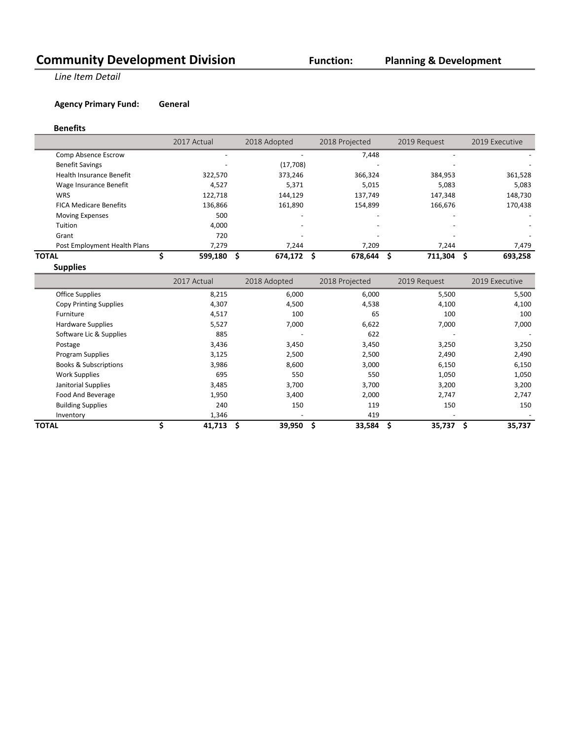# **Planning & Development**

**Line Item Detail** 

# **Agency Primary Fund: General**

### **Benefits**

|                               | 2017 Actual              | 2018 Adopted | 2018 Projected | 2019 Request | 2019 Executive |
|-------------------------------|--------------------------|--------------|----------------|--------------|----------------|
| Comp Absence Escrow           |                          |              | 7,448          |              |                |
| <b>Benefit Savings</b>        | $\overline{\phantom{0}}$ | (17,708)     |                |              |                |
| Health Insurance Benefit      | 322,570                  | 373,246      | 366,324        | 384,953      | 361,528        |
| Wage Insurance Benefit        | 4,527                    | 5,371        | 5,015          | 5,083        | 5,083          |
| <b>WRS</b>                    | 122,718                  | 144,129      | 137,749        | 147,348      | 148,730        |
| <b>FICA Medicare Benefits</b> | 136,866                  | 161,890      | 154,899        | 166,676      | 170,438        |
| <b>Moving Expenses</b>        | 500                      |              | ۰              |              |                |
| Tuition                       | 4,000                    |              |                |              |                |
| Grant                         | 720                      |              |                |              |                |
| Post Employment Health Plans  | 7,279                    | 7.244        | 7,209          | 7.244        | 7,479          |
| TOTAL                         | 599,180                  | 674,172      | 678,644<br>S   | 711,304      | 693,258        |

**Supplies**

|                                  | 2017 Actual | 2018 Adopted             | 2018 Projected | 2019 Request             | 2019 Executive |
|----------------------------------|-------------|--------------------------|----------------|--------------------------|----------------|
| <b>Office Supplies</b>           | 8,215       | 6,000                    | 6,000          | 5,500                    | 5,500          |
| <b>Copy Printing Supplies</b>    | 4,307       | 4,500                    | 4,538          | 4,100                    | 4,100          |
| Furniture                        | 4,517       | 100                      | 65             | 100                      | 100            |
| <b>Hardware Supplies</b>         | 5,527       | 7,000                    | 6,622          | 7,000                    | 7,000          |
| Software Lic & Supplies          | 885         |                          | 622            |                          |                |
| Postage                          | 3,436       | 3,450                    | 3,450          | 3,250                    | 3,250          |
| Program Supplies                 | 3,125       | 2,500                    | 2,500          | 2,490                    | 2,490          |
| <b>Books &amp; Subscriptions</b> | 3,986       | 8,600                    | 3,000          | 6,150                    | 6,150          |
| <b>Work Supplies</b>             | 695         | 550                      | 550            | 1,050                    | 1,050          |
| Janitorial Supplies              | 3,485       | 3,700                    | 3,700          | 3,200                    | 3,200          |
| Food And Beverage                | 1,950       | 3,400                    | 2,000          | 2,747                    | 2,747          |
| <b>Building Supplies</b>         | 240         | 150                      | 119            | 150                      | 150            |
| Inventory                        | 1,346       | $\overline{\phantom{0}}$ | 419            | $\overline{\phantom{a}}$ |                |
| <b>TOTAL</b>                     | $41,713$ \$ | $39,950$ \$              | 33,584         | \$<br>35,737             | \$<br>35,737   |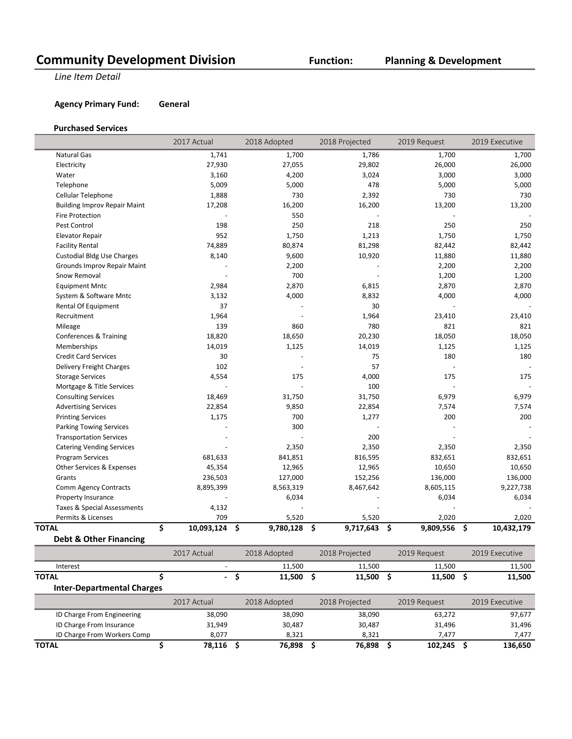# **Planning & Development**

**Line Item Detail** 

## **Agency Primary Fund: General**

### **Purchased Services**

|                                     | 2017 Actual      | 2018 Adopted    | 2018 Projected  | 2019 Request    | 2019 Executive   |
|-------------------------------------|------------------|-----------------|-----------------|-----------------|------------------|
| Natural Gas                         | 1,741            | 1,700           | 1,786           | 1,700           | 1,700            |
| Electricity                         | 27,930           | 27,055          | 29,802          | 26,000          | 26,000           |
| Water                               | 3,160            | 4,200           | 3,024           | 3,000           | 3,000            |
| Telephone                           | 5,009            | 5,000           | 478             | 5,000           | 5,000            |
| Cellular Telephone                  | 1,888            | 730             | 2,392           | 730             | 730              |
| <b>Building Improv Repair Maint</b> | 17,208           | 16,200          | 16,200          | 13,200          | 13,200           |
| <b>Fire Protection</b>              |                  | 550             |                 |                 |                  |
| Pest Control                        | 198              | 250             | 218             | 250             | 250              |
| <b>Elevator Repair</b>              | 952              | 1,750           | 1,213           | 1,750           | 1,750            |
| <b>Facility Rental</b>              | 74,889           | 80,874          | 81,298          | 82,442          | 82,442           |
| <b>Custodial Bldg Use Charges</b>   | 8,140            | 9,600           | 10,920          | 11,880          | 11,880           |
| Grounds Improv Repair Maint         |                  | 2,200           |                 | 2,200           | 2,200            |
| Snow Removal                        |                  | 700             |                 | 1,200           | 1,200            |
| <b>Equipment Mntc</b>               | 2,984            | 2,870           | 6,815           | 2,870           | 2,870            |
| System & Software Mntc              | 3,132            | 4,000           | 8,832           | 4,000           | 4,000            |
| Rental Of Equipment                 | 37               |                 | 30              |                 |                  |
| Recruitment                         | 1,964            |                 | 1,964           | 23,410          | 23,410           |
| Mileage                             | 139              | 860             | 780             | 821             | 821              |
| <b>Conferences &amp; Training</b>   | 18,820           | 18,650          | 20,230          | 18,050          | 18,050           |
| Memberships                         | 14,019           | 1,125           | 14,019          | 1,125           | 1,125            |
| <b>Credit Card Services</b>         | 30               |                 | 75              | 180             | 180              |
| Delivery Freight Charges            | 102              |                 | 57              |                 |                  |
| <b>Storage Services</b>             | 4,554            | 175             | 4,000           | 175             | 175              |
| Mortgage & Title Services           |                  |                 | 100             |                 |                  |
| <b>Consulting Services</b>          | 18,469           | 31,750          | 31,750          | 6,979           | 6,979            |
| <b>Advertising Services</b>         | 22,854           | 9,850           | 22,854          | 7,574           | 7,574            |
| <b>Printing Services</b>            | 1,175            | 700             | 1,277           | 200             | 200              |
| <b>Parking Towing Services</b>      |                  | 300             |                 |                 |                  |
| <b>Transportation Services</b>      |                  |                 | 200             |                 |                  |
| <b>Catering Vending Services</b>    |                  | 2,350           | 2,350           | 2,350           | 2,350            |
| <b>Program Services</b>             | 681,633          | 841,851         | 816,595         | 832,651         | 832,651          |
| Other Services & Expenses           | 45,354           | 12,965          | 12,965          | 10,650          | 10,650           |
| Grants                              | 236,503          | 127,000         | 152,256         | 136,000         | 136,000          |
| <b>Comm Agency Contracts</b>        | 8,895,399        | 8,563,319       | 8,467,642       | 8,605,115       | 9,227,738        |
| <b>Property Insurance</b>           |                  | 6,034           |                 | 6,034           | 6,034            |
| Taxes & Special Assessments         | 4,132            |                 |                 |                 |                  |
| Permits & Licenses                  | 709              | 5,520           | 5,520           | 2,020           | 2,020            |
| <b>TOTAL</b>                        | \$<br>10,093,124 | \$<br>9,780,128 | \$<br>9,717,643 | \$<br>9,809,556 | 10,432,179<br>\$ |
| <b>Debt &amp; Other Financing</b>   |                  |                 |                 |                 |                  |

|                                   | 2017 Actual<br>2018 Adopted<br>2018 Projected |           | 2019 Request |                | 2019 Executive |              |    |                |
|-----------------------------------|-----------------------------------------------|-----------|--------------|----------------|----------------|--------------|----|----------------|
| Interest                          | $\overline{a}$                                |           | 11,500       | 11,500         |                | 11,500       |    | 11,500         |
| <b>TOTAL</b>                      |                                               | - \$<br>э | 11,500       | 11,500         |                | 11,500       | -S | 11,500         |
| <b>Inter-Departmental Charges</b> |                                               |           |              |                |                |              |    |                |
|                                   | 2017 Actual                                   |           | 2018 Adopted | 2018 Projected |                | 2019 Request |    | 2019 Executive |
| ID Charge From Engineering        | 38,090                                        |           | 38,090       | 38,090         |                | 63,272       |    | 97,677         |
| ID Charge From Insurance          | 31,949                                        |           | 30,487       | 30,487         |                | 31,496       |    | 31,496         |
| ID Charge From Workers Comp       | 8,077                                         |           | 8.321        | 8.321          |                | 7,477        |    | 7,477          |
| <b>TOTAL</b>                      | 78,116                                        |           | 76,898       | 76,898         |                | 102.245      |    | 136,650        |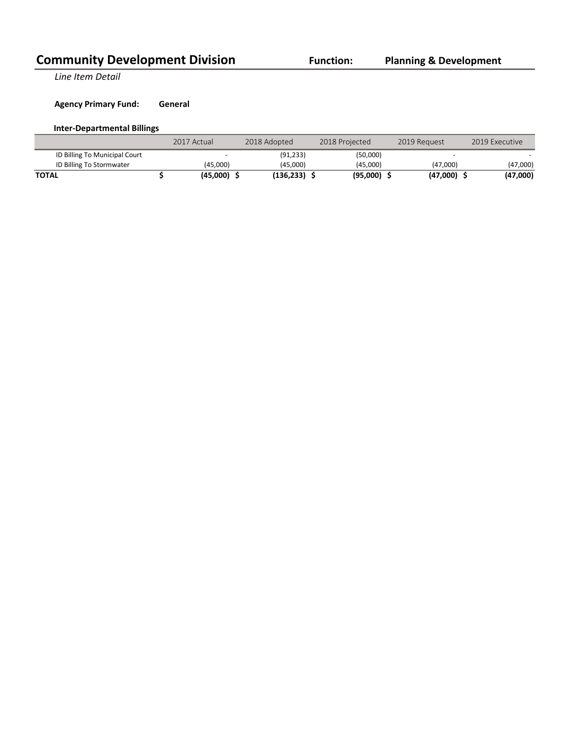**Line Item Detail** 

# **Agency Primary Fund: General**

# **Inter-Departmental Billings**

|                               | 2017 Actual |          | 2018 Adopted | 2018 Projected | 2019 Request | 2019 Executive |
|-------------------------------|-------------|----------|--------------|----------------|--------------|----------------|
| ID Billing To Municipal Court |             |          | (91.233)     | (50,000)       |              |                |
| ID Billing To Stormwater      |             | (45.000) | (45.000)     | (45.000)       | (47.000)     | (47,000)       |
| <b>TOTAL</b>                  |             | (45,000) | (136.233)    | (95,000)       | (47,000)     | (47,000)       |